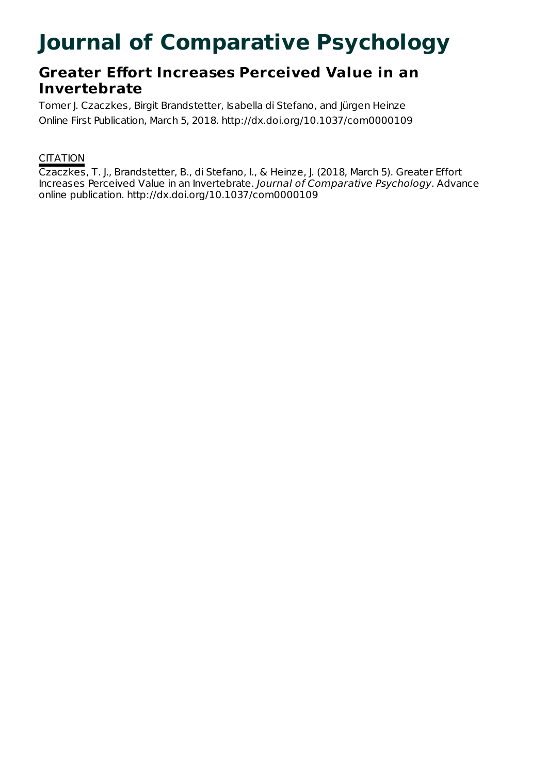# **Journal of Comparative Psychology**

# **Greater Effort Increases Perceived Value in an Invertebrate**

Tomer J. Czaczkes, Birgit Brandstetter, Isabella di Stefano, and Jürgen Heinze Online First Publication, March 5, 2018. http://dx.doi.org/10.1037/com0000109

# **CITATION**

Czaczkes, T. J., Brandstetter, B., di Stefano, I., & Heinze, J. (2018, March 5). Greater Effort Increases Perceived Value in an Invertebrate. Journal of Comparative Psychology. Advance online publication. http://dx.doi.org/10.1037/com0000109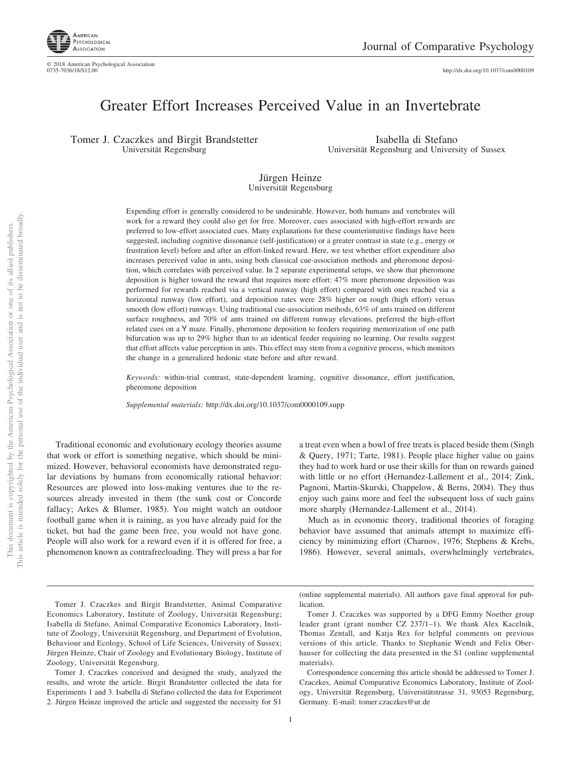

http://dx.doi.org[/10.1037/com0000109](http://dx.doi.org/10.1037/com0000109)

# Greater Effort Increases Perceived Value in an Invertebrate

Tomer J. Czaczkes and Birgit Brandstetter Universität Regensburg

Isabella di Stefano Universität Regensburg and University of Sussex

#### Jürgen Heinze Universität Regensburg

Expending effort is generally considered to be undesirable. However, both humans and vertebrates will work for a reward they could also get for free. Moreover, cues associated with high-effort rewards are preferred to low-effort associated cues. Many explanations for these counterintuitive findings have been suggested, including cognitive dissonance (self-justification) or a greater contrast in state (e.g., energy or frustration level) before and after an effort-linked reward. Here, we test whether effort expenditure also increases perceived value in ants, using both classical cue-association methods and pheromone deposition, which correlates with perceived value. In 2 separate experimental setups, we show that pheromone deposition is higher toward the reward that requires more effort: 47% more pheromone deposition was performed for rewards reached via a vertical runway (high effort) compared with ones reached via a horizontal runway (low effort), and deposition rates were 28% higher on rough (high effort) versus smooth (low effort) runways. Using traditional cue-association methods, 63% of ants trained on different surface roughness, and 70% of ants trained on different runway elevations, preferred the high-effort related cues on a Y maze. Finally, pheromone deposition to feeders requiring memorization of one path bifurcation was up to 29% higher than to an identical feeder requiring no learning. Our results suggest that effort affects value perception in ants. This effect may stem from a cognitive process, which monitors the change in a generalized hedonic state before and after reward.

*Keywords:* within-trial contrast, state-dependent learning, cognitive dissonance, effort justification, pheromone deposition

*Supplemental materials:* http://dx.doi.org/10.1037/com0000109.supp

Traditional economic and evolutionary ecology theories assume that work or effort is something negative, which should be minimized. However, behavioral economists have demonstrated regular deviations by humans from economically rational behavior: Resources are plowed into loss-making ventures due to the resources already invested in them (the sunk cost or Concorde fallacy; Arkes & Blumer, 1985). You might watch an outdoor football game when it is raining, as you have already paid for the ticket, but had the game been free, you would not have gone. People will also work for a reward even if it is offered for free, a phenomenon known as contrafreeloading. They will press a bar for a treat even when a bowl of free treats is placed beside them (Singh & Query, 1971; Tarte, 1981). People place higher value on gains they had to work hard or use their skills for than on rewards gained with little or no effort (Hernandez-Lallement et al., 2014; [Zink,](#page-10-0) [Pagnoni, Martin-Skurski, Chappelow, & Berns, 2004\)](#page-10-0). They thus enjoy such gains more and feel the subsequent loss of such gains more sharply (Hernandez-Lallement et al., 2014).

Much as in economic theory, traditional theories of foraging behavior have assumed that animals attempt to maximize efficiency by minimizing effort (Charnov, 1976; Stephens & Krebs, 1986). However, several animals, overwhelmingly vertebrates,

Tomer J. Czaczkes conceived and designed the study, analyzed the results, and wrote the article. Birgit Brandstetter collected the data for Experiments 1 and 3. Isabella di Stefano collected the data for Experiment 2. Jürgen Heinze improved the article and suggested the necessity for S1

(online supplemental materials). All authors gave final approval for publication.

Tomer J. Czaczkes and Birgit Brandstetter, Animal Comparative Economics Laboratory, Institute of Zoology, Universität Regensburg; Isabella di Stefano, Animal Comparative Economics Laboratory, Institute of Zoology, Universität Regensburg, and Department of Evolution, Behaviour and Ecology, School of Life Sciences, University of Sussex; Jürgen Heinze, Chair of Zoology and Evolutionary Biology, Institute of Zoology, Universität Regensburg.

Tomer J. Czaczkes was supported by a DFG Emmy Noether group leader grant (grant number CZ 237/1–1). We thank Alex Kacelnik, Thomas Zentall, and Katja Rex for helpful comments on previous versions of this article. Thanks to Stephanie Wendt and Felix Oberhauser for collecting the data presented in the S1 (online supplemental materials).

Correspondence concerning this article should be addressed to Tomer J. Czaczkes, Animal Comparative Economics Laboratory, Institute of Zoology, Universität Regensburg, Universitätstrasse 31, 93053 Regensburg, Germany. E-mail: [tomer.czaczkes@ur.de](mailto:tomer.czaczkes@ur.de)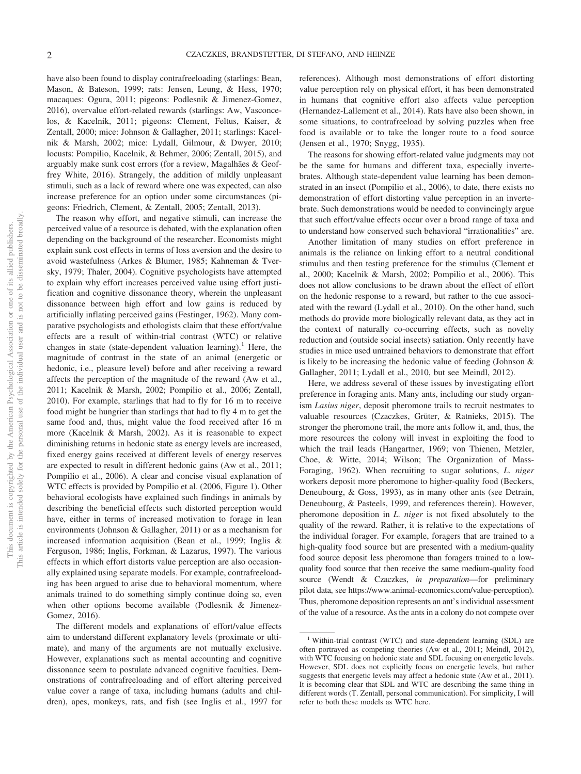have also been found to display contrafreeloading (starlings: Bean, Mason, & Bateson, 1999; rats: Jensen, Leung, & Hess, 1970; macaques: Ogura, 2011; pigeons: Podlesnik & Jimenez-Gomez, 2016), overvalue effort-related rewards (starlings: Aw, Vasconcelos, & Kacelnik, 2011; pigeons: Clement, Feltus, Kaiser, & Zentall, 2000; mice: Johnson & Gallagher, 2011; starlings: Kacelnik & Marsh, 2002; mice: Lydall, Gilmour, & Dwyer, 2010; locusts: Pompilio, Kacelnik, & Behmer, 2006; Zentall, 2015), and arguably make sunk cost errors (for a review, Magalhães & Geoffrey White, 2016). Strangely, the addition of mildly unpleasant stimuli, such as a lack of reward where one was expected, can also increase preference for an option under some circumstances (pigeons: Friedrich, Clement, & Zentall, 2005; Zentall, 2013).

The reason why effort, and negative stimuli, can increase the perceived value of a resource is debated, with the explanation often depending on the background of the researcher. Economists might explain sunk cost effects in terms of loss aversion and the desire to avoid wastefulness (Arkes & Blumer, 1985; Kahneman & Tversky, 1979; Thaler, 2004). Cognitive psychologists have attempted to explain why effort increases perceived value using effort justification and cognitive dissonance theory, wherein the unpleasant dissonance between high effort and low gains is reduced by artificially inflating perceived gains (Festinger, 1962). Many comparative psychologists and ethologists claim that these effort/value effects are a result of within-trial contrast (WTC) or relative changes in state (state-dependent valuation learning).<sup>1</sup> Here, the magnitude of contrast in the state of an animal (energetic or hedonic, i.e., pleasure level) before and after receiving a reward affects the perception of the magnitude of the reward (Aw et al., 2011; Kacelnik & Marsh, 2002; Pompilio et al., 2006; Zentall, 2010). For example, starlings that had to fly for 16 m to receive food might be hungrier than starlings that had to fly 4 m to get the same food and, thus, might value the food received after 16 m more (Kacelnik & Marsh, 2002). As it is reasonable to expect diminishing returns in hedonic state as energy levels are increased, fixed energy gains received at different levels of energy reserves are expected to result in different hedonic gains (Aw et al., 2011; Pompilio et al., 2006). A clear and concise visual explanation of WTC effects is provided by Pompilio et al. (2006, [Figure 1\)](#page-3-0). Other behavioral ecologists have explained such findings in animals by describing the beneficial effects such distorted perception would have, either in terms of increased motivation to forage in lean environments (Johnson & Gallagher, 2011) or as a mechanism for increased information acquisition (Bean et al., 1999; Inglis & Ferguson, 1986; Inglis, Forkman, & Lazarus, 1997). The various effects in which effort distorts value perception are also occasionally explained using separate models. For example, contrafreeloading has been argued to arise due to behavioral momentum, where animals trained to do something simply continue doing so, even when other options become available (Podlesnik & Jimenez-Gomez, 2016).

The different models and explanations of effort/value effects aim to understand different explanatory levels (proximate or ultimate), and many of the arguments are not mutually exclusive. However, explanations such as mental accounting and cognitive dissonance seem to postulate advanced cognitive faculties. Demonstrations of contrafreeloading and of effort altering perceived value cover a range of taxa, including humans (adults and children), apes, monkeys, rats, and fish (see Inglis et al., 1997 for references). Although most demonstrations of effort distorting value perception rely on physical effort, it has been demonstrated in humans that cognitive effort also affects value perception (Hernandez-Lallement et al., 2014). Rats have also been shown, in some situations, to contrafreeload by solving puzzles when free food is available or to take the longer route to a food source (Jensen et al., 1970; Snygg, 1935).

The reasons for showing effort-related value judgments may not be the same for humans and different taxa, especially invertebrates. Although state-dependent value learning has been demonstrated in an insect (Pompilio et al., 2006), to date, there exists no demonstration of effort distorting value perception in an invertebrate. Such demonstrations would be needed to convincingly argue that such effort/value effects occur over a broad range of taxa and to understand how conserved such behavioral "irrationalities" are.

Another limitation of many studies on effort preference in animals is the reliance on linking effort to a neutral conditional stimulus and then testing preference for the stimulus (Clement et al., 2000; Kacelnik & Marsh, 2002; Pompilio et al., 2006). This does not allow conclusions to be drawn about the effect of effort on the hedonic response to a reward, but rather to the cue associated with the reward (Lydall et al., 2010). On the other hand, such methods do provide more biologically relevant data, as they act in the context of naturally co-occurring effects, such as novelty reduction and (outside social insects) satiation. Only recently have studies in mice used untrained behaviors to demonstrate that effort is likely to be increasing the hedonic value of feeding (Johnson & Gallagher, 2011; Lydall et al., 2010, but see Meindl, 2012).

Here, we address several of these issues by investigating effort preference in foraging ants. Many ants, including our study organism *Lasius niger*, deposit pheromone trails to recruit nestmates to valuable resources (Czaczkes, Grüter, & Ratnieks, 2015). The stronger the pheromone trail, the more ants follow it, and, thus, the more resources the colony will invest in exploiting the food to which the trail leads [\(Hangartner, 1969;](#page-9-0) von Thienen, Metzler, Choe, & Witte, 2014; Wilson; The Organization of Mass-Foraging, 1962). When recruiting to sugar solutions, *L. niger* workers deposit more pheromone to higher-quality food (Beckers, Deneubourg, & Goss, 1993), as in many other ants (see Detrain, Deneubourg, & Pasteels, 1999, and references therein). However, pheromone deposition in *L. niger* is not fixed absolutely to the quality of the reward. Rather, it is relative to the expectations of the individual forager. For example, foragers that are trained to a high-quality food source but are presented with a medium-quality food source deposit less pheromone than foragers trained to a lowquality food source that then receive the same medium-quality food source (Wendt & Czaczkes, *in preparation*—for preliminary pilot data, see [https://www.animal-economics.com/value-perception\)](https://www.animal-economics.com/value-perception). Thus, pheromone deposition represents an ant's individual assessment of the value of a resource. As the ants in a colony do not compete over

<sup>&</sup>lt;sup>1</sup> Within-trial contrast (WTC) and state-dependent learning (SDL) are often portrayed as competing theories (Aw et al., 2011; Meindl, 2012), with WTC focusing on hedonic state and SDL focusing on energetic levels. However, SDL does not explicitly focus on energetic levels, but rather suggests that energetic levels may affect a hedonic state (Aw et al., 2011). It is becoming clear that SDL and WTC are describing the same thing in different words (T. Zentall, personal communication). For simplicity, I will refer to both these models as WTC here.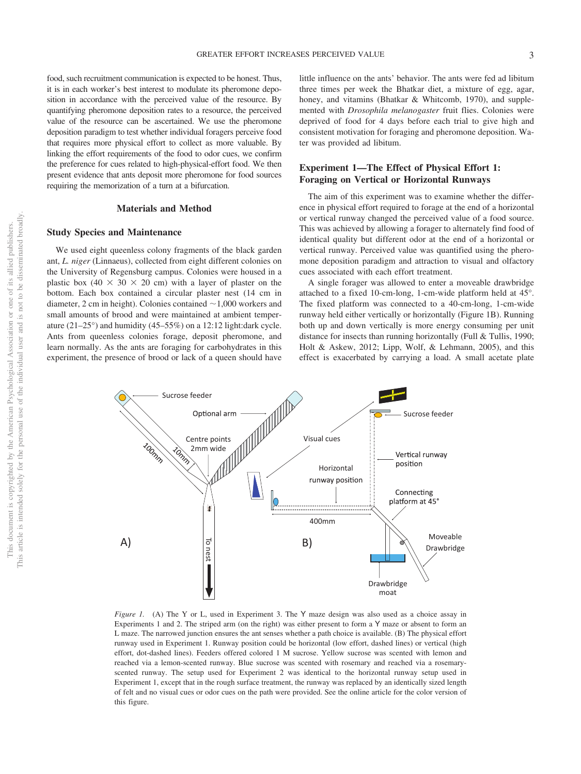food, such recruitment communication is expected to be honest. Thus, it is in each worker's best interest to modulate its pheromone deposition in accordance with the perceived value of the resource. By quantifying pheromone deposition rates to a resource, the perceived value of the resource can be ascertained. We use the pheromone deposition paradigm to test whether individual foragers perceive food that requires more physical effort to collect as more valuable. By linking the effort requirements of the food to odor cues, we confirm the preference for cues related to high-physical-effort food. We then present evidence that ants deposit more pheromone for food sources requiring the memorization of a turn at a bifurcation.

#### **Materials and Method**

#### **Study Species and Maintenance**

We used eight queenless colony fragments of the black garden ant, *L. niger* (Linnaeus), collected from eight different colonies on the University of Regensburg campus. Colonies were housed in a plastic box  $(40 \times 30 \times 20$  cm) with a layer of plaster on the bottom. Each box contained a circular plaster nest (14 cm in diameter, 2 cm in height). Colonies contained  $\sim$  1,000 workers and small amounts of brood and were maintained at ambient temperature (21–25°) and humidity (45–55%) on a 12:12 light:dark cycle. Ants from queenless colonies forage, deposit pheromone, and learn normally. As the ants are foraging for carbohydrates in this experiment, the presence of brood or lack of a queen should have

little influence on the ants' behavior. The ants were fed ad libitum three times per week the Bhatkar diet, a mixture of egg, agar, honey, and vitamins (Bhatkar & Whitcomb, 1970), and supplemented with *Drosophila melanogaster* fruit flies. Colonies were deprived of food for 4 days before each trial to give high and consistent motivation for foraging and pheromone deposition. Water was provided ad libitum.

## **Experiment 1—The Effect of Physical Effort 1: Foraging on Vertical or Horizontal Runways**

The aim of this experiment was to examine whether the difference in physical effort required to forage at the end of a horizontal or vertical runway changed the perceived value of a food source. This was achieved by allowing a forager to alternately find food of identical quality but different odor at the end of a horizontal or vertical runway. Perceived value was quantified using the pheromone deposition paradigm and attraction to visual and olfactory cues associated with each effort treatment.

A single forager was allowed to enter a moveable drawbridge attached to a fixed 10-cm-long, 1-cm-wide platform held at 45°. The fixed platform was connected to a 40-cm-long, 1-cm-wide runway held either vertically or horizontally [\(Figure 1B\)](#page-3-0). Running both up and down vertically is more energy consuming per unit distance for insects than running horizontally (Full & Tullis, 1990; Holt & Askew, 2012; Lipp, Wolf, & Lehmann, 2005), and this effect is exacerbated by carrying a load. A small acetate plate



<span id="page-3-0"></span>*Figure 1.* (A) The Y or L, used in Experiment 3. The Y maze design was also used as a choice assay in Experiments 1 and 2. The striped arm (on the right) was either present to form a Y maze or absent to form an L maze. The narrowed junction ensures the ant senses whether a path choice is available. (B) The physical effort runway used in Experiment 1. Runway position could be horizontal (low effort, dashed lines) or vertical (high effort, dot-dashed lines). Feeders offered colored 1 M sucrose. Yellow sucrose was scented with lemon and reached via a lemon-scented runway. Blue sucrose was scented with rosemary and reached via a rosemaryscented runway. The setup used for Experiment 2 was identical to the horizontal runway setup used in Experiment 1, except that in the rough surface treatment, the runway was replaced by an identically sized length of felt and no visual cues or odor cues on the path were provided. See the online article for the color version of this figure.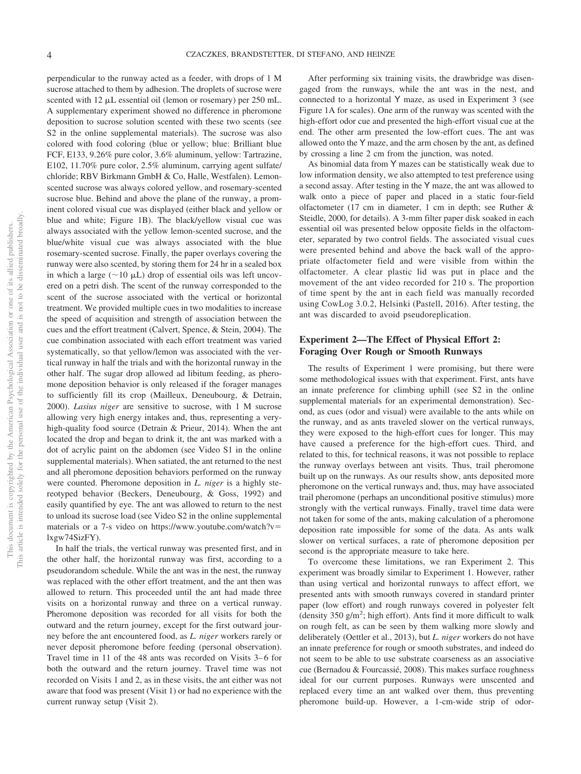perpendicular to the runway acted as a feeder, with drops of 1 M sucrose attached to them by adhesion. The droplets of sucrose were scented with  $12 \mu L$  essential oil (lemon or rosemary) per  $250 \text{ mL}$ . A supplementary experiment showed no difference in pheromone deposition to sucrose solution scented with these two scents (see S2 in the online supplemental materials). The sucrose was also colored with food coloring (blue or yellow; blue: Brilliant blue FCF, E133, 9.26% pure color, 3.6% aluminum, yellow: Tartrazine, E102, 11.70% pure color, 2.5% aluminum, carrying agent sulfate/ chloride; RBV Birkmann GmbH & Co, Halle, Westfalen). Lemonscented sucrose was always colored yellow, and rosemary-scented sucrose blue. Behind and above the plane of the runway, a prominent colored visual cue was displayed (either black and yellow or blue and white; [Figure 1B\)](#page-3-0). The black/yellow visual cue was always associated with the yellow lemon-scented sucrose, and the blue/white visual cue was always associated with the blue rosemary-scented sucrose. Finally, the paper overlays covering the runway were also scented, by storing them for 24 hr in a sealed box in which a large ( $\sim$ 10  $\mu$ L) drop of essential oils was left uncovered on a petri dish. The scent of the runway corresponded to the scent of the sucrose associated with the vertical or horizontal treatment. We provided multiple cues in two modalities to increase the speed of acquisition and strength of association between the cues and the effort treatment (Calvert, Spence, & Stein, 2004). The cue combination associated with each effort treatment was varied systematically, so that yellow/lemon was associated with the vertical runway in half the trials and with the horizontal runway in the other half. The sugar drop allowed ad libitum feeding, as pheromone deposition behavior is only released if the forager manages to sufficiently fill its crop (Mailleux, Deneubourg, & Detrain, 2000). *Lasius niger* are sensitive to sucrose, with 1 M sucrose allowing very high energy intakes and, thus, representing a veryhigh-quality food source (Detrain & Prieur, 2014). When the ant located the drop and began to drink it, the ant was marked with a dot of acrylic paint on the abdomen (see Video S1 in the online supplemental materials). When satiated, the ant returned to the nest and all pheromone deposition behaviors performed on the runway were counted. Pheromone deposition in *L. niger* is a highly stereotyped behavior [\(Beckers, Deneubourg, & Goss, 1992\)](#page-8-0) and easily quantified by eye. The ant was allowed to return to the nest to unload its sucrose load (see Video S2 in the online supplemental materials or a 7-s video on [https://www.youtube.com/watch?v](https://www.youtube.com/watch?v=lxgw74SizFY) [lxgw74SizFY\)](https://www.youtube.com/watch?v=lxgw74SizFY).

In half the trials, the vertical runway was presented first, and in the other half, the horizontal runway was first, according to a pseudorandom schedule. While the ant was in the nest, the runway was replaced with the other effort treatment, and the ant then was allowed to return. This proceeded until the ant had made three visits on a horizontal runway and three on a vertical runway. Pheromone deposition was recorded for all visits for both the outward and the return journey, except for the first outward journey before the ant encountered food, as *L. niger* workers rarely or never deposit pheromone before feeding (personal observation). Travel time in 11 of the 48 ants was recorded on Visits 3–6 for both the outward and the return journey. Travel time was not recorded on Visits 1 and 2, as in these visits, the ant either was not aware that food was present (Visit 1) or had no experience with the current runway setup (Visit 2).

After performing six training visits, the drawbridge was disengaged from the runways, while the ant was in the nest, and connected to a horizontal Y maze, as used in Experiment 3 (see [Figure 1A](#page-3-0) for scales). One arm of the runway was scented with the high-effort odor cue and presented the high-effort visual cue at the end. The other arm presented the low-effort cues. The ant was allowed onto the Y maze, and the arm chosen by the ant, as defined by crossing a line 2 cm from the junction, was noted.

As binomial data from Y mazes can be statistically weak due to low information density, we also attempted to test preference using a second assay. After testing in the Y maze, the ant was allowed to walk onto a piece of paper and placed in a static four-field olfactometer (17 cm in diameter, 1 cm in depth; see Ruther & Steidle, 2000, for details). A 3-mm filter paper disk soaked in each essential oil was presented below opposite fields in the olfactometer, separated by two control fields. The associated visual cues were presented behind and above the back wall of the appropriate olfactometer field and were visible from within the olfactometer. A clear plastic lid was put in place and the movement of the ant video recorded for 210 s. The proportion of time spent by the ant in each field was manually recorded using CowLog 3.0.2, Helsinki [\(Pastell, 2016\).](#page-10-1) After testing, the ant was discarded to avoid pseudoreplication.

### **Experiment 2—The Effect of Physical Effort 2: Foraging Over Rough or Smooth Runways**

The results of Experiment 1 were promising, but there were some methodological issues with that experiment. First, ants have an innate preference for climbing uphill (see S2 in the online supplemental materials for an experimental demonstration). Second, as cues (odor and visual) were available to the ants while on the runway, and as ants traveled slower on the vertical runways, they were exposed to the high-effort cues for longer. This may have caused a preference for the high-effort cues. Third, and related to this, for technical reasons, it was not possible to replace the runway overlays between ant visits. Thus, trail pheromone built up on the runways. As our results show, ants deposited more pheromone on the vertical runways and, thus, may have associated trail pheromone (perhaps an unconditional positive stimulus) more strongly with the vertical runways. Finally, travel time data were not taken for some of the ants, making calculation of a pheromone deposition rate impossible for some of the data. As ants walk slower on vertical surfaces, a rate of pheromone deposition per second is the appropriate measure to take here.

To overcome these limitations, we ran Experiment 2. This experiment was broadly similar to Experiment 1. However, rather than using vertical and horizontal runways to affect effort, we presented ants with smooth runways covered in standard printer paper (low effort) and rough runways covered in polyester felt (density  $350$  g/m<sup>2</sup>; high effort). Ants find it more difficult to walk on rough felt, as can be seen by them walking more slowly and deliberately (Oettler et al., 2013), but *L. niger* workers do not have an innate preference for rough or smooth substrates, and indeed do not seem to be able to use substrate coarseness as an associative cue (Bernadou & Fourcassié, 2008). This makes surface roughness ideal for our current purposes. Runways were unscented and replaced every time an ant walked over them, thus preventing pheromone build-up. However, a 1-cm-wide strip of odor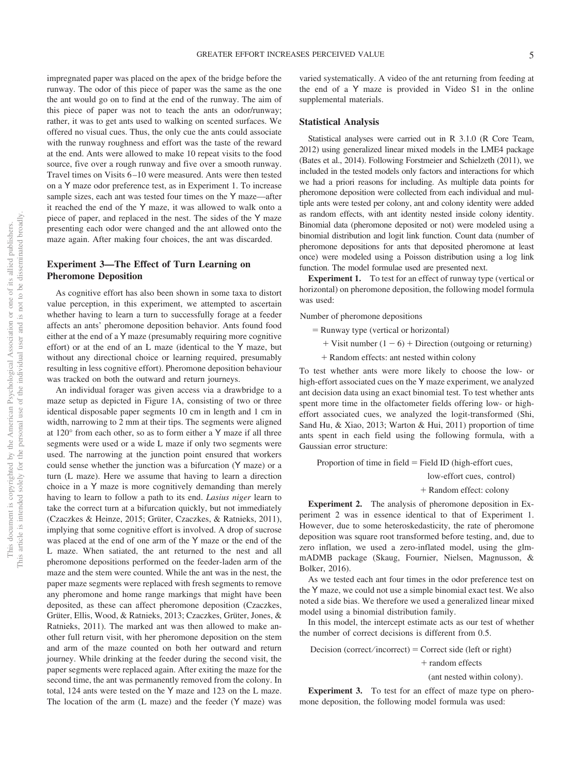impregnated paper was placed on the apex of the bridge before the runway. The odor of this piece of paper was the same as the one the ant would go on to find at the end of the runway. The aim of this piece of paper was not to teach the ants an odor/runway; rather, it was to get ants used to walking on scented surfaces. We offered no visual cues. Thus, the only cue the ants could associate with the runway roughness and effort was the taste of the reward at the end. Ants were allowed to make 10 repeat visits to the food source, five over a rough runway and five over a smooth runway. Travel times on Visits 6–10 were measured. Ants were then tested on a Y maze odor preference test, as in Experiment 1. To increase sample sizes, each ant was tested four times on the Y maze—after it reached the end of the Y maze, it was allowed to walk onto a piece of paper, and replaced in the nest. The sides of the Y maze presenting each odor were changed and the ant allowed onto the maze again. After making four choices, the ant was discarded.

## **Experiment 3—The Effect of Turn Learning on Pheromone Deposition**

As cognitive effort has also been shown in some taxa to distort value perception, in this experiment, we attempted to ascertain whether having to learn a turn to successfully forage at a feeder affects an ants' pheromone deposition behavior. Ants found food either at the end of a Y maze (presumably requiring more cognitive effort) or at the end of an L maze (identical to the Y maze, but without any directional choice or learning required, presumably resulting in less cognitive effort). Pheromone deposition behaviour was tracked on both the outward and return journeys.

An individual forager was given access via a drawbridge to a maze setup as depicted in [Figure 1A,](#page-3-0) consisting of two or three identical disposable paper segments 10 cm in length and 1 cm in width, narrowing to 2 mm at their tips. The segments were aligned at 120° from each other, so as to form either a Y maze if all three segments were used or a wide L maze if only two segments were used. The narrowing at the junction point ensured that workers could sense whether the junction was a bifurcation (Y maze) or a turn (L maze). Here we assume that having to learn a direction choice in a Y maze is more cognitively demanding than merely having to learn to follow a path to its end. *Lasius niger* learn to take the correct turn at a bifurcation quickly, but not immediately (Czaczkes & Heinze, 2015; [Grüter, Czaczkes, & Ratnieks, 2011\)](#page-9-1), implying that some cognitive effort is involved. A drop of sucrose was placed at the end of one arm of the Y maze or the end of the L maze. When satiated, the ant returned to the nest and all pheromone depositions performed on the feeder-laden arm of the maze and the stem were counted. While the ant was in the nest, the paper maze segments were replaced with fresh segments to remove any pheromone and home range markings that might have been deposited, as these can affect pheromone deposition (Czaczkes, Grüter, Ellis, Wood, & Ratnieks, 2013; Czaczkes, Grüter, Jones, & Ratnieks, 2011). The marked ant was then allowed to make another full return visit, with her pheromone deposition on the stem and arm of the maze counted on both her outward and return journey. While drinking at the feeder during the second visit, the paper segments were replaced again. After exiting the maze for the second time, the ant was permanently removed from the colony. In total, 124 ants were tested on the Y maze and 123 on the L maze. The location of the arm (L maze) and the feeder (Y maze) was varied systematically. A video of the ant returning from feeding at the end of a Y maze is provided in Video S1 in the online supplemental materials.

#### **Statistical Analysis**

Statistical analyses were carried out in R 3.1.0 (R Core Team, 2012) using generalized linear mixed models in the LME4 package (Bates et al., 2014). Following Forstmeier and Schielzeth (2011), we included in the tested models only factors and interactions for which we had a priori reasons for including. As multiple data points for pheromone deposition were collected from each individual and multiple ants were tested per colony, ant and colony identity were added as random effects, with ant identity nested inside colony identity. Binomial data (pheromone deposited or not) were modeled using a binomial distribution and logit link function. Count data (number of pheromone depositions for ants that deposited pheromone at least once) were modeled using a Poisson distribution using a log link function. The model formulae used are presented next.

**Experiment 1.** To test for an effect of runway type (vertical or horizontal) on pheromone deposition, the following model formula was used:

Number of pheromone depositions

- = Runway type (vertical or horizontal)
	- $+$  Visit number  $(1 6) +$  Direction (outgoing or returning)
	- Random effects: ant nested within colony

To test whether ants were more likely to choose the low- or high-effort associated cues on the Y maze experiment, we analyzed ant decision data using an exact binomial test. To test whether ants spent more time in the olfactometer fields offering low- or higheffort associated cues, we analyzed the logit-transformed (Shi, Sand Hu, & Xiao, 2013; Warton & Hui, 2011) proportion of time ants spent in each field using the following formula, with a Gaussian error structure:

Proportion of time in  $field = Field ID$  (high-effort cues,

low-effort cues, control)

Random effect: colony

**Experiment 2.** The analysis of pheromone deposition in Experiment 2 was in essence identical to that of Experiment 1. However, due to some heteroskedasticity, the rate of pheromone deposition was square root transformed before testing, and, due to zero inflation, we used a zero-inflated model, using the glmmADMB package (Skaug, Fournier, Nielsen, Magnusson, & Bolker, 2016).

As we tested each ant four times in the odor preference test on the Y maze, we could not use a simple binomial exact test. We also noted a side bias. We therefore we used a generalized linear mixed model using a binomial distribution family.

In this model, the intercept estimate acts as our test of whether the number of correct decisions is different from 0.5.

 $Decision (correct/incorrect) = Correct side (left or right)$ 

+ random effects

(ant nested within colony).

**Experiment 3.** To test for an effect of maze type on pheromone deposition, the following model formula was used: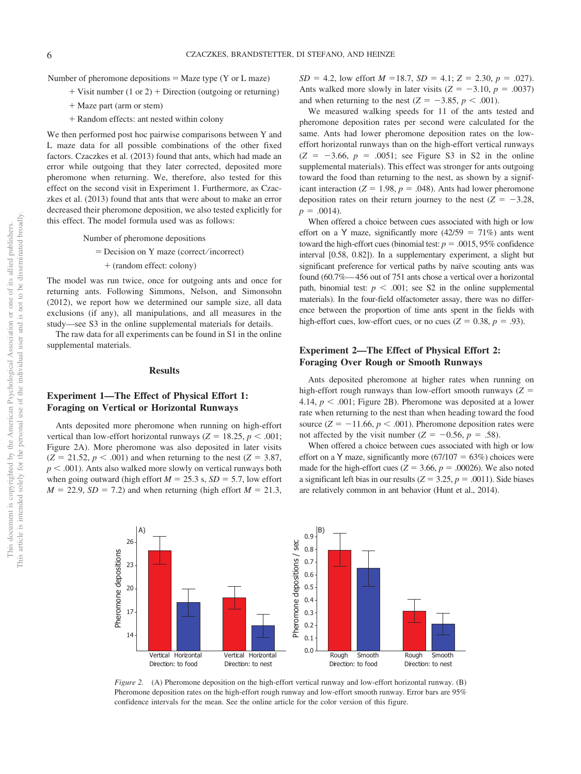Number of pheromone depositions  $=$  Maze type (Y or L maze)

- $+$  Visit number (1 or 2)  $+$  Direction (outgoing or returning)
- + Maze part (arm or stem)
- Random effects: ant nested within colony

We then performed post hoc pairwise comparisons between Y and L maze data for all possible combinations of the other fixed factors. Czaczkes et al. (2013) found that ants, which had made an error while outgoing that they later corrected, deposited more pheromone when returning. We, therefore, also tested for this effect on the second visit in Experiment 1. Furthermore, as Czaczkes et al. (2013) found that ants that were about to make an error decreased their pheromone deposition, we also tested explicitly for this effect. The model formula used was as follows:

Number of pheromone depositions

- Decision on Y maze (correct ⁄ incorrect)
	- (random effect: colony)

The model was run twice, once for outgoing ants and once for returning ants. Following Simmons, Nelson, and Simonsohn (2012), we report how we determined our sample size, all data exclusions (if any), all manipulations, and all measures in the study—see S3 in the online supplemental materials for details.

The raw data for all experiments can be found in S1 in the online supplemental materials.

#### **Results**

# **Experiment 1—The Effect of Physical Effort 1: Foraging on Vertical or Horizontal Runways**

Ants deposited more pheromone when running on high-effort vertical than low-effort horizontal runways ( $Z = 18.25$ ,  $p < .001$ ; Figure 2A). More pheromone was also deposited in later visits  $(Z = 21.52, p < .001)$  and when returning to the nest  $(Z = 3.87,$  $p < .001$ ). Ants also walked more slowly on vertical runways both when going outward (high effort  $M = 25.3$  s,  $SD = 5.7$ , low effort  $M = 22.9$ ,  $SD = 7.2$ ) and when returning (high effort  $M = 21.3$ ,

 $SD = 4.2$ , low effort  $M = 18.7$ ,  $SD = 4.1$ ;  $Z = 2.30$ ,  $p = .027$ ). Ants walked more slowly in later visits  $(Z = -3.10, p = .0037)$ and when returning to the nest  $(Z = -3.85, p < .001)$ .

We measured walking speeds for 11 of the ants tested and pheromone deposition rates per second were calculated for the same. Ants had lower pheromone deposition rates on the loweffort horizontal runways than on the high-effort vertical runways  $(Z = -3.66, p = .0051$ ; see Figure S3 in S2 in the online supplemental materials). This effect was stronger for ants outgoing toward the food than returning to the nest, as shown by a significant interaction ( $Z = 1.98$ ,  $p = .048$ ). Ants had lower pheromone deposition rates on their return journey to the nest  $(Z = -3.28$ ,  $p = .0014$ .

When offered a choice between cues associated with high or low effort on a Y maze, significantly more  $(42/59 = 71\%)$  ants went toward the high-effort cues (binomial test:  $p = .0015, 95\%$  confidence interval [0.58, 0.82]). In a supplementary experiment, a slight but significant preference for vertical paths by naïve scouting ants was found (60.7%—456 out of 751 ants chose a vertical over a horizontal path, binomial test:  $p < .001$ ; see S2 in the online supplemental materials). In the four-field olfactometer assay, there was no difference between the proportion of time ants spent in the fields with high-effort cues, low-effort cues, or no cues ( $Z = 0.38$ ,  $p = .93$ ).

# **Experiment 2—The Effect of Physical Effort 2: Foraging Over Rough or Smooth Runways**

Ants deposited pheromone at higher rates when running on high-effort rough runways than low-effort smooth runways (*Z* 4.14,  $p < .001$ ; Figure 2B). Pheromone was deposited at a lower rate when returning to the nest than when heading toward the food source  $(Z = -11.66, p < .001)$ . Pheromone deposition rates were not affected by the visit number ( $Z = -0.56$ ,  $p = .58$ ).

When offered a choice between cues associated with high or low effort on a Y maze, significantly more  $(67/107 = 63%)$  choices were made for the high-effort cues ( $Z = 3.66$ ,  $p = .00026$ ). We also noted a significant left bias in our results ( $Z = 3.25$ ,  $p = .0011$ ). Side biases are relatively common in ant behavior (Hunt et al., 2014).



*Figure 2.* (A) Pheromone deposition on the high-effort vertical runway and low-effort horizontal runway. (B) Pheromone deposition rates on the high-effort rough runway and low-effort smooth runway. Error bars are 95% confidence intervals for the mean. See the online article for the color version of this figure.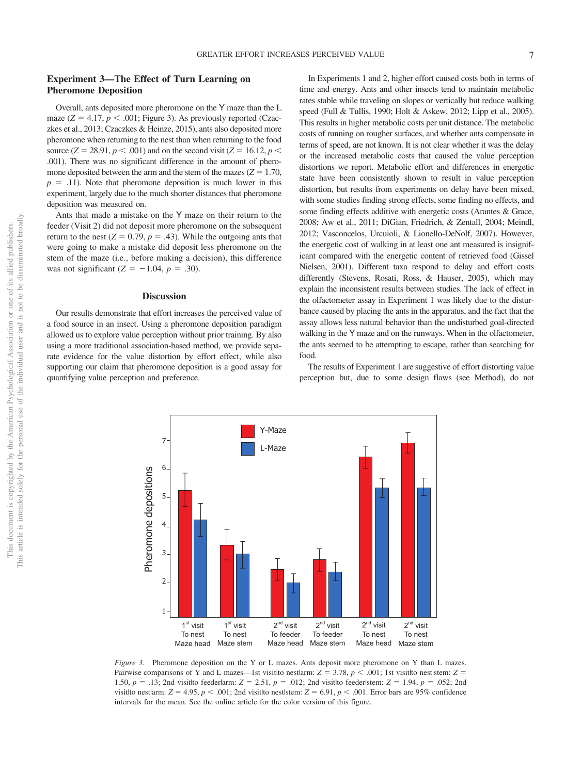# **Experiment 3—The Effect of Turn Learning on Pheromone Deposition**

Overall, ants deposited more pheromone on the Y maze than the L maze  $(Z = 4.17, p < .001$ ; [Figure 3\)](#page-7-0). As previously reported (Czaczkes et al., 2013; Czaczkes & Heinze, 2015), ants also deposited more pheromone when returning to the nest than when returning to the food source (*Z* = 28.91, *p* < .001) and on the second visit (*Z* = 16.12, *p* < .001). There was no significant difference in the amount of pheromone deposited between the arm and the stem of the mazes  $(Z = 1.70)$ ,  $p = .11$ ). Note that pheromone deposition is much lower in this experiment, largely due to the much shorter distances that pheromone deposition was measured on.

Ants that made a mistake on the Y maze on their return to the feeder (Visit 2) did not deposit more pheromone on the subsequent return to the nest  $(Z = 0.79, p = .43)$ . While the outgoing ants that were going to make a mistake did deposit less pheromone on the stem of the maze (i.e., before making a decision), this difference was not significant  $(Z = -1.04, p = .30)$ .

#### **Discussion**

Our results demonstrate that effort increases the perceived value of a food source in an insect. Using a pheromone deposition paradigm allowed us to explore value perception without prior training. By also using a more traditional association-based method, we provide separate evidence for the value distortion by effort effect, while also supporting our claim that pheromone deposition is a good assay for quantifying value perception and preference.

In Experiments 1 and 2, higher effort caused costs both in terms of time and energy. Ants and other insects tend to maintain metabolic rates stable while traveling on slopes or vertically but reduce walking speed (Full & Tullis, 1990; Holt & Askew, 2012; Lipp et al., 2005). This results in higher metabolic costs per unit distance. The metabolic costs of running on rougher surfaces, and whether ants compensate in terms of speed, are not known. It is not clear whether it was the delay or the increased metabolic costs that caused the value perception distortions we report. Metabolic effort and differences in energetic state have been consistently shown to result in value perception distortion, but results from experiments on delay have been mixed, with some studies finding strong effects, some finding no effects, and some finding effects additive with energetic costs (Arantes & Grace, 2008; Aw et al., 2011; DiGian, Friedrich, & Zentall, 2004; Meindl, 2012; Vasconcelos, Urcuioli, & Lionello-DeNolf, 2007). However, the energetic cost of walking in at least one ant measured is insignificant compared with the energetic content of retrieved food [\(Gissel](#page-9-2) [Nielsen, 2001\)](#page-9-2). Different taxa respond to delay and effort costs differently (Stevens, Rosati, Ross, & Hauser, 2005), which may explain the inconsistent results between studies. The lack of effect in the olfactometer assay in Experiment 1 was likely due to the disturbance caused by placing the ants in the apparatus, and the fact that the assay allows less natural behavior than the undisturbed goal-directed walking in the Y maze and on the runways. When in the olfactometer, the ants seemed to be attempting to escape, rather than searching for food.

The results of Experiment 1 are suggestive of effort distorting value perception but, due to some design flaws (see Method), do not

<span id="page-7-0"></span>

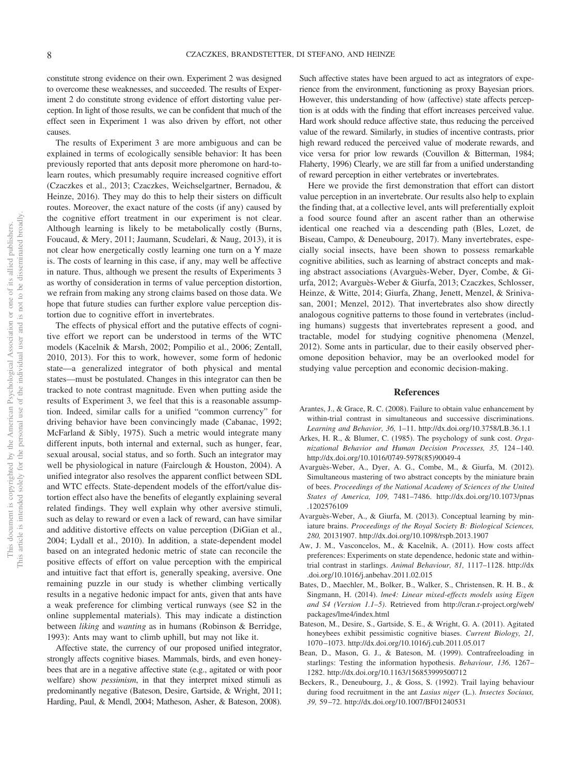constitute strong evidence on their own. Experiment 2 was designed to overcome these weaknesses, and succeeded. The results of Experiment 2 do constitute strong evidence of effort distorting value perception. In light of those results, we can be confident that much of the effect seen in Experiment 1 was also driven by effort, not other causes.

The results of Experiment 3 are more ambiguous and can be explained in terms of ecologically sensible behavior: It has been previously reported that ants deposit more pheromone on hard-tolearn routes, which presumably require increased cognitive effort (Czaczkes et al., 2013; Czaczkes, Weichselgartner, Bernadou, & Heinze, 2016). They may do this to help their sisters on difficult routes. Moreover, the exact nature of the costs (if any) caused by the cognitive effort treatment in our experiment is not clear. Although learning is likely to be metabolically costly (Burns, Foucaud, & Mery, 2011; Jaumann, Scudelari, & Naug, 2013), it is not clear how energetically costly learning one turn on a Y maze is. The costs of learning in this case, if any, may well be affective in nature. Thus, although we present the results of Experiments 3 as worthy of consideration in terms of value perception distortion, we refrain from making any strong claims based on those data. We hope that future studies can further explore value perception distortion due to cognitive effort in invertebrates.

The effects of physical effort and the putative effects of cognitive effort we report can be understood in terms of the WTC models (Kacelnik & Marsh, 2002; Pompilio et al., 2006; Zentall, 2010, 2013). For this to work, however, some form of hedonic state—a generalized integrator of both physical and mental states—must be postulated. Changes in this integrator can then be tracked to note contrast magnitude. Even when putting aside the results of Experiment 3, we feel that this is a reasonable assumption. Indeed, similar calls for a unified "common currency" for driving behavior have been convincingly made (Cabanac, 1992; McFarland & Sibly, 1975). Such a metric would integrate many different inputs, both internal and external, such as hunger, fear, sexual arousal, social status, and so forth. Such an integrator may well be physiological in nature (Fairclough & Houston, 2004). A unified integrator also resolves the apparent conflict between SDL and WTC effects. State-dependent models of the effort/value distortion effect also have the benefits of elegantly explaining several related findings. They well explain why other aversive stimuli, such as delay to reward or even a lack of reward, can have similar and additive distortive effects on value perception (DiGian et al., 2004; Lydall et al., 2010). In addition, a state-dependent model based on an integrated hedonic metric of state can reconcile the positive effects of effort on value perception with the empirical and intuitive fact that effort is, generally speaking, aversive. One remaining puzzle in our study is whether climbing vertically results in a negative hedonic impact for ants, given that ants have a weak preference for climbing vertical runways (see S2 in the online supplemental materials). This may indicate a distinction between *liking* and *wanting* as in humans (Robinson & Berridge, 1993): Ants may want to climb uphill, but may not like it.

Affective state, the currency of our proposed unified integrator, strongly affects cognitive biases. Mammals, birds, and even honeybees that are in a negative affective state (e.g., agitated or with poor welfare) show *pessimism*, in that they interpret mixed stimuli as predominantly negative (Bateson, Desire, Gartside, & Wright, 2011; [Harding, Paul, & Mendl, 2004;](#page-9-3) Matheson, Asher, & Bateson, 2008).

Such affective states have been argued to act as integrators of experience from the environment, functioning as proxy Bayesian priors. However, this understanding of how (affective) state affects perception is at odds with the finding that effort increases perceived value. Hard work should reduce affective state, thus reducing the perceived value of the reward. Similarly, in studies of incentive contrasts, prior high reward reduced the perceived value of moderate rewards, and vice versa for prior low rewards [\(Couvillon & Bitterman, 1984;](#page-9-4) Flaherty, 1996) Clearly, we are still far from a unified understanding of reward perception in either vertebrates or invertebrates.

Here we provide the first demonstration that effort can distort value perception in an invertebrate. Our results also help to explain the finding that, at a collective level, ants will preferentially exploit a food source found after an ascent rather than an otherwise identical one reached via a descending path (Bles, Lozet, de Biseau, Campo, & Deneubourg, 2017). Many invertebrates, especially social insects, have been shown to possess remarkable cognitive abilities, such as learning of abstract concepts and making abstract associations (Avarguès-Weber, Dyer, Combe, & Giurfa, 2012; Avarguès-Weber & Giurfa, 2013; Czaczkes, Schlosser, Heinze, & Witte, 2014; [Giurfa, Zhang, Jenett, Menzel, & Sriniva](#page-9-5)[san, 2001;](#page-9-5) Menzel, 2012). That invertebrates also show directly analogous cognitive patterns to those found in vertebrates (including humans) suggests that invertebrates represent a good, and tractable, model for studying cognitive phenomena (Menzel, 2012). Some ants in particular, due to their easily observed pheromone deposition behavior, may be an overlooked model for studying value perception and economic decision-making.

#### **References**

- Arantes, J., & Grace, R. C. (2008). Failure to obtain value enhancement by within-trial contrast in simultaneous and successive discriminations. *Learning and Behavior, 36,* 1–11.<http://dx.doi.org/10.3758/LB.36.1.1>
- Arkes, H. R., & Blumer, C. (1985). The psychology of sunk cost. *Organizational Behavior and Human Decision Processes, 35,* 124–140. [http://dx.doi.org/10.1016/0749-5978\(85\)90049-4](http://dx.doi.org/10.1016/0749-5978%2885%2990049-4)
- Avarguès-Weber, A., Dyer, A. G., Combe, M., & Giurfa, M. (2012). Simultaneous mastering of two abstract concepts by the miniature brain of bees. *Proceedings of the National Academy of Sciences of the United States of America, 109,* 7481–7486. [http://dx.doi.org/10.1073/pnas](http://dx.doi.org/10.1073/pnas.1202576109) [.1202576109](http://dx.doi.org/10.1073/pnas.1202576109)
- Avarguès-Weber, A., & Giurfa, M. (2013). Conceptual learning by miniature brains. *Proceedings of the Royal Society B: Biological Sciences, 280,* 20131907.<http://dx.doi.org/10.1098/rspb.2013.1907>
- Aw, J. M., Vasconcelos, M., & Kacelnik, A. (2011). How costs affect preferences: Experiments on state dependence, hedonic state and withintrial contrast in starlings. *Animal Behaviour, 81,* 1117–1128. [http://dx](http://dx.doi.org/10.1016/j.anbehav.2011.02.015) [.doi.org/10.1016/j.anbehav.2011.02.015](http://dx.doi.org/10.1016/j.anbehav.2011.02.015)
- Bates, D., Maechler, M., Bolker, B., Walker, S., Christensen, R. H. B., & Singmann, H. (2014). *lme4: Linear mixed-effects models using Eigen and S4 (Version 1.1–5)*. Retrieved from [http://cran.r-project.org/web/](http://cran.r-project.org/web/packages/lme4/index.html) [packages/lme4/index.html](http://cran.r-project.org/web/packages/lme4/index.html)
- Bateson, M., Desire, S., Gartside, S. E., & Wright, G. A. (2011). Agitated honeybees exhibit pessimistic cognitive biases. *Current Biology, 21,* 1070–1073.<http://dx.doi.org/10.1016/j.cub.2011.05.017>
- Bean, D., Mason, G. J., & Bateson, M. (1999). Contrafreeloading in starlings: Testing the information hypothesis. *Behaviour, 136,* 1267– 1282.<http://dx.doi.org/10.1163/156853999500712>
- <span id="page-8-0"></span>Beckers, R., Deneubourg, J., & Goss, S. (1992). Trail laying behaviour during food recruitment in the ant *Lasius niger* (L.). *Insectes Sociaux, 39,* 59–72.<http://dx.doi.org/10.1007/BF01240531>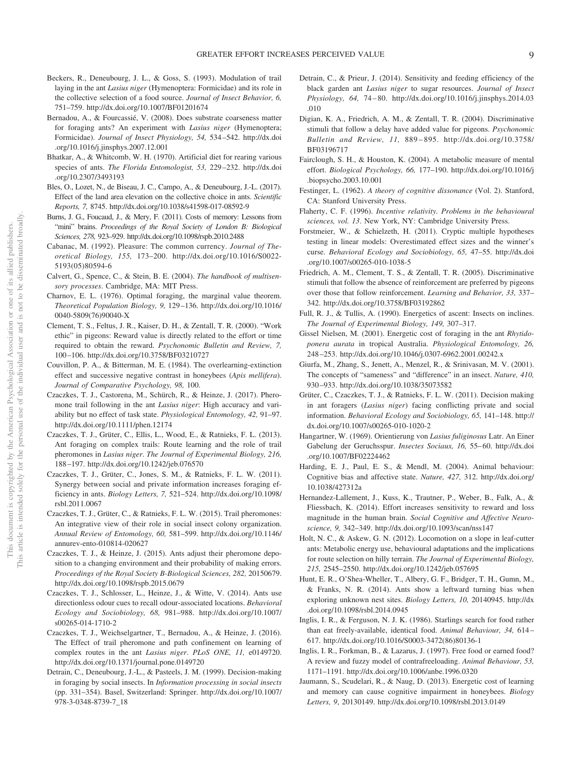- Beckers, R., Deneubourg, J. L., & Goss, S. (1993). Modulation of trail laying in the ant *Lasius niger* (Hymenoptera: Formicidae) and its role in the collective selection of a food source. *Journal of Insect Behavior, 6,* 751–759.<http://dx.doi.org/10.1007/BF01201674>
- Bernadou, A., & Fourcassié, V. (2008). Does substrate coarseness matter for foraging ants? An experiment with *Lasius niger* (Hymenoptera; Formicidae). *Journal of Insect Physiology, 54,* 534–542. [http://dx.doi](http://dx.doi.org/10.1016/j.jinsphys.2007.12.001) [.org/10.1016/j.jinsphys.2007.12.001](http://dx.doi.org/10.1016/j.jinsphys.2007.12.001)
- Bhatkar, A., & Whitcomb, W. H. (1970). Artificial diet for rearing various species of ants. *The Florida Entomologist, 53,* 229–232. [http://dx.doi](http://dx.doi.org/10.2307/3493193) [.org/10.2307/3493193](http://dx.doi.org/10.2307/3493193)
- Bles, O., Lozet, N., de Biseau, J. C., Campo, A., & Deneubourg, J.-L. (2017). Effect of the land area elevation on the collective choice in ants. *Scientific Reports, 7,* 8745.<http://dx.doi.org/10.1038/s41598-017-08592-9>
- Burns, J. G., Foucaud, J., & Mery, F. (2011). Costs of memory: Lessons from "mini" brains. *Proceedings of the Royal Society of London B: Biological Sciences, 278,* 923–929.<http://dx.doi.org/10.1098/rspb.2010.2488>
- Cabanac, M. (1992). Pleasure: The common currency. *Journal of Theoretical Biology, 155,* 173–200. [http://dx.doi.org/10.1016/S0022-](http://dx.doi.org/10.1016/S0022-5193%2805%2980594-6) [5193\(05\)80594-6](http://dx.doi.org/10.1016/S0022-5193%2805%2980594-6)
- Calvert, G., Spence, C., & Stein, B. E. (2004). *The handbook of multisensory processes*. Cambridge, MA: MIT Press.
- Charnov, E. L. (1976). Optimal foraging, the marginal value theorem. *Theoretical Population Biology, 9,* 129–136. [http://dx.doi.org/10.1016/](http://dx.doi.org/10.1016/0040-5809%2876%2990040-X) [0040-5809\(76\)90040-X](http://dx.doi.org/10.1016/0040-5809%2876%2990040-X)
- Clement, T. S., Feltus, J. R., Kaiser, D. H., & Zentall, T. R. (2000). "Work ethic" in pigeons: Reward value is directly related to the effort or time required to obtain the reward. *Psychonomic Bulletin and Review, 7,* 100–106.<http://dx.doi.org/10.3758/BF03210727>
- <span id="page-9-4"></span>Couvillon, P. A., & Bitterman, M. E. (1984). The overlearning-extinction effect and successive negative contrast in honeybees (*Apis mellifera*). *Journal of Comparative Psychology, 98,* 100.
- Czaczkes, T. J., Castorena, M., Schürch, R., & Heinze, J. (2017). Pheromone trail following in the ant *Lasius niger*: High accuracy and variability but no effect of task state. *Physiological Entomology, 42,* 91–97. <http://dx.doi.org/10.1111/phen.12174>
- Czaczkes, T. J., Grüter, C., Ellis, L., Wood, E., & Ratnieks, F. L. (2013). Ant foraging on complex trails: Route learning and the role of trail pheromones in *Lasius niger*. *The Journal of Experimental Biology, 216,* 188–197.<http://dx.doi.org/10.1242/jeb.076570>
- Czaczkes, T. J., Grüter, C., Jones, S. M., & Ratnieks, F. L. W. (2011). Synergy between social and private information increases foraging efficiency in ants. *Biology Letters, 7,* 521–524. [http://dx.doi.org/10.1098/](http://dx.doi.org/10.1098/rsbl.2011.0067) [rsbl.2011.0067](http://dx.doi.org/10.1098/rsbl.2011.0067)
- Czaczkes, T. J., Grüter, C., & Ratnieks, F. L. W. (2015). Trail pheromones: An integrative view of their role in social insect colony organization. *Annual Review of Entomology, 60,* 581–599. [http://dx.doi.org/10.1146/](http://dx.doi.org/10.1146/annurev-ento-010814-020627) [annurev-ento-010814-020627](http://dx.doi.org/10.1146/annurev-ento-010814-020627)
- Czaczkes, T. J., & Heinze, J. (2015). Ants adjust their pheromone deposition to a changing environment and their probability of making errors. *Proceedings of the Royal Society B-Biological Sciences, 282,* 20150679. <http://dx.doi.org/10.1098/rspb.2015.0679>
- Czaczkes, T. J., Schlosser, L., Heinze, J., & Witte, V. (2014). Ants use directionless odour cues to recall odour-associated locations. *Behavioral Ecology and Sociobiology, 68,* 981–988. [http://dx.doi.org/10.1007/](http://dx.doi.org/10.1007/s00265-014-1710-2) [s00265-014-1710-2](http://dx.doi.org/10.1007/s00265-014-1710-2)
- Czaczkes, T. J., Weichselgartner, T., Bernadou, A., & Heinze, J. (2016). The Effect of trail pheromone and path confinement on learning of complex routes in the ant *Lasius niger*. *PLoS ONE, 11,* e0149720. <http://dx.doi.org/10.1371/journal.pone.0149720>
- Detrain, C., Deneubourg, J.-L., & Pasteels, J. M. (1999). Decision-making in foraging by social insects. In *Information processing in social insects* (pp. 331–354). Basel, Switzerland: Springer. [http://dx.doi.org/10.1007/](http://dx.doi.org/10.1007/978-3-0348-8739-7_18) [978-3-0348-8739-7\\_18](http://dx.doi.org/10.1007/978-3-0348-8739-7_18)
- Detrain, C., & Prieur, J. (2014). Sensitivity and feeding efficiency of the black garden ant *Lasius niger* to sugar resources. *Journal of Insect Physiology, 64,* 74–80. [http://dx.doi.org/10.1016/j.jinsphys.2014.03](http://dx.doi.org/10.1016/j.jinsphys.2014.03.010) [.010](http://dx.doi.org/10.1016/j.jinsphys.2014.03.010)
- Digian, K. A., Friedrich, A. M., & Zentall, T. R. (2004). Discriminative stimuli that follow a delay have added value for pigeons. *Psychonomic Bulletin and Review, 11,* 889–895. [http://dx.doi.org/10.3758/](http://dx.doi.org/10.3758/BF03196717) [BF03196717](http://dx.doi.org/10.3758/BF03196717)
- Fairclough, S. H., & Houston, K. (2004). A metabolic measure of mental effort. *Biological Psychology, 66,* 177–190. [http://dx.doi.org/10.1016/j](http://dx.doi.org/10.1016/j.biopsycho.2003.10.001) [.biopsycho.2003.10.001](http://dx.doi.org/10.1016/j.biopsycho.2003.10.001)
- Festinger, L. (1962). *A theory of cognitive dissonance* (Vol. 2). Stanford, CA: Stanford University Press.
- Flaherty, C. F. (1996). *Incentive relativity. Problems in the behavioural sciences, vol. 13*. New York, NY: Cambridge University Press.
- Forstmeier, W., & Schielzeth, H. (2011). Cryptic multiple hypotheses testing in linear models: Overestimated effect sizes and the winner's curse. *Behavioral Ecology and Sociobiology, 65,* 47–55. [http://dx.doi](http://dx.doi.org/10.1007/s00265-010-1038-5) [.org/10.1007/s00265-010-1038-5](http://dx.doi.org/10.1007/s00265-010-1038-5)
- Friedrich, A. M., Clement, T. S., & Zentall, T. R. (2005). Discriminative stimuli that follow the absence of reinforcement are preferred by pigeons over those that follow reinforcement. *Learning and Behavior, 33,* 337– 342.<http://dx.doi.org/10.3758/BF03192862>
- Full, R. J., & Tullis, A. (1990). Energetics of ascent: Insects on inclines. *The Journal of Experimental Biology, 149,* 307–317.
- <span id="page-9-2"></span>Gissel Nielsen, M. (2001). Energetic cost of foraging in the ant *Rhytidoponera aurata* in tropical Australia. *Physiological Entomology, 26,* 248–253.<http://dx.doi.org/10.1046/j.0307-6962.2001.00242.x>
- <span id="page-9-5"></span>Giurfa, M., Zhang, S., Jenett, A., Menzel, R., & Srinivasan, M. V. (2001). The concepts of "sameness" and "difference" in an insect. *Nature, 410,* 930–933.<http://dx.doi.org/10.1038/35073582>
- <span id="page-9-1"></span>Grüter, C., Czaczkes, T. J., & Ratnieks, F. L. W. (2011). Decision making in ant foragers (*Lasius niger*) facing conflicting private and social information. *Behavioral Ecology and Sociobiology, 65,* 141–148. [http://](http://dx.doi.org/10.1007/s00265-010-1020-2) [dx.doi.org/10.1007/s00265-010-1020-2](http://dx.doi.org/10.1007/s00265-010-1020-2)
- <span id="page-9-0"></span>Hangartner, W. (1969). Orientierung von *Lasius fuliginosus* Latr. An Einer Gabelung der Geruchsspur. *Insectes Sociaux, 16,* 55–60. [http://dx.doi](http://dx.doi.org/10.1007/BF02224462) [.org/10.1007/BF02224462](http://dx.doi.org/10.1007/BF02224462)
- <span id="page-9-3"></span>Harding, E. J., Paul, E. S., & Mendl, M. (2004). Animal behaviour: Cognitive bias and affective state. *Nature, 427,* 312. [http://dx.doi.org/](http://dx.doi.org/10.1038/427312a) [10.1038/427312a](http://dx.doi.org/10.1038/427312a)
- Hernandez-Lallement, J., Kuss, K., Trautner, P., Weber, B., Falk, A., & Fliessbach, K. (2014). Effort increases sensitivity to reward and loss magnitude in the human brain. *Social Cognitive and Affective Neuroscience, 9,* 342–349.<http://dx.doi.org/10.1093/scan/nss147>
- Holt, N. C., & Askew, G. N. (2012). Locomotion on a slope in leaf-cutter ants: Metabolic energy use, behavioural adaptations and the implications for route selection on hilly terrain. *The Journal of Experimental Biology, 215,* 2545–2550.<http://dx.doi.org/10.1242/jeb.057695>
- Hunt, E. R., O'Shea-Wheller, T., Albery, G. F., Bridger, T. H., Gumn, M., & Franks, N. R. (2014). Ants show a leftward turning bias when exploring unknown nest sites. *Biology Letters, 10,* 20140945. [http://dx](http://dx.doi.org/10.1098/rsbl.2014.0945) [.doi.org/10.1098/rsbl.2014.0945](http://dx.doi.org/10.1098/rsbl.2014.0945)
- Inglis, I. R., & Ferguson, N. J. K. (1986). Starlings search for food rather than eat freely-available, identical food. *Animal Behaviour, 34,* 614– 617. [http://dx.doi.org/10.1016/S0003-3472\(86\)80136-1](http://dx.doi.org/10.1016/S0003-3472%2886%2980136-1)
- Inglis, I. R., Forkman, B., & Lazarus, J. (1997). Free food or earned food? A review and fuzzy model of contrafreeloading. *Animal Behaviour, 53,* 1171–1191.<http://dx.doi.org/10.1006/anbe.1996.0320>
- Jaumann, S., Scudelari, R., & Naug, D. (2013). Energetic cost of learning and memory can cause cognitive impairment in honeybees. *Biology Letters, 9*, 20130149.<http://dx.doi.org/10.1098/rsbl.2013.0149>